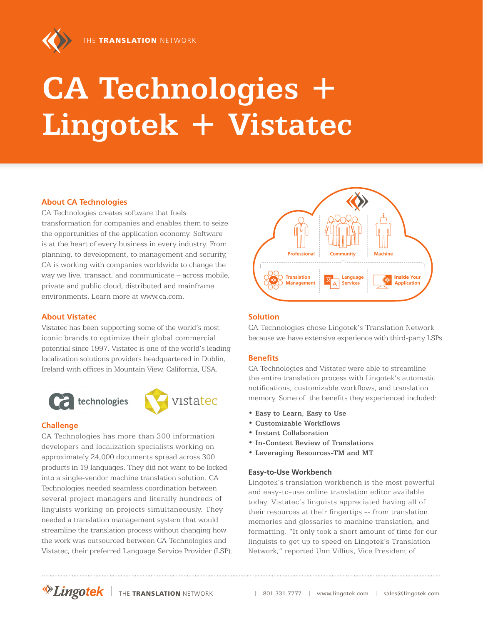

# **CA Technologies + Lingotek + Vistatec**

### **About CA Technologies**

CA Technologies creates software that fuels transformation for companies and enables them to seize the opportunities of the application economy. Software is at the heart of every business in every industry. From planning, to development, to management and security, CA is working with companies worldwide to change the way we live, transact, and communicate – across mobile, private and public cloud, distributed and mainframe environments. Learn more at www.ca.com.

#### **About Vistatec**

Vistatec has been supporting some of the world's most iconic brands to optimize their global commercial potential since 1997. Vistatec is one of the world's leading localization solutions providers headquartered in Dublin, Ireland with offices in Mountain View, California, USA.





#### **Challenge**

CA Technologies has more than 300 information developers and localization specialists working on approximately 24,000 documents spread across 300 products in 19 languages. They did not want to be locked into a single-vendor machine translation solution. CA Technologies needed seamless coordination between several project managers and literally hundreds of linguists working on projects simultaneously. They needed a translation management system that would streamline the translation process without changing how the work was outsourced between CA Technologies and Vistatec, their preferred Language Service Provider (LSP).



#### **Solution**

CA Technologies chose Lingotek's Translation Network because we have extensive experience with third-party LSPs.

#### **Benefits**

CA Technologies and Vistatec were able to streamline the entire translation process with Lingotek's automatic notifications, customizable workflows, and translation memory. Some of the benefits they experienced included:

- Easy to Learn, Easy to Use
- Customizable Workflows
- Instant Collaboration
- In-Context Review of Translations
- Leveraging Resources-TM and MT

#### **Easy-to-Use Workbench**

Lingotek's translation workbench is the most powerful and easy-to-use online translation editor available today. Vistatec's linguists appreciated having all of their resources at their fingertips -- from translation memories and glossaries to machine translation, and formatting. "It only took a short amount of time for our linguists to get up to speed on Lingotek's Translation Network," reported Unn Villius, Vice President of